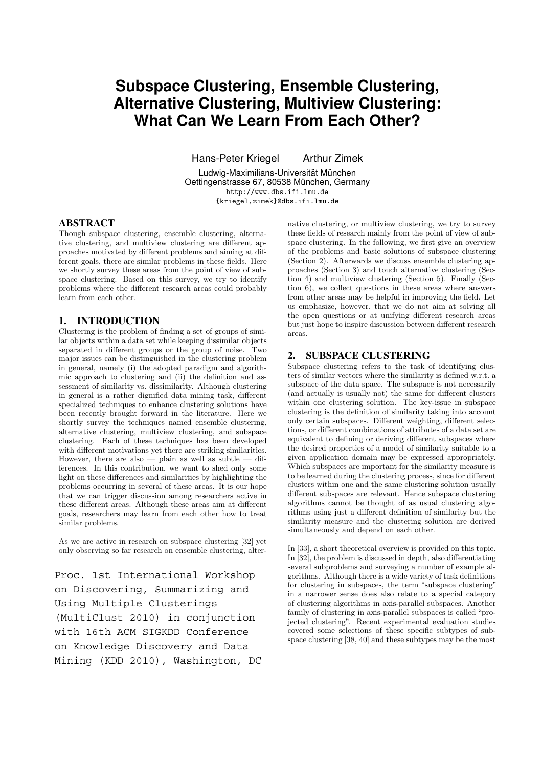# **Subspace Clustering, Ensemble Clustering, What Can We Learn From Each Other? What Can We Learn From Each Other?**

Hans-Peter Kriegel Arthur Zimek

Ludwig-Maximilians-Universität München Oettingenstrasse 67, 80538 München, Germany http://www.dbs.ifi.lmu.de {kriegel,zimek}@dbs.ifi.lmu.de

## ABSTRACT

Though subspace clustering, ensemble clustering, alternative clustering, and multiview clustering are different approaches motivated by different problems and aiming at different goals, there are similar problems in these fields. Here we shortly survey these areas from the point of view of subspace clustering. Based on this survey, we try to identify problems where the different research areas could probably learn from each other.

#### 1. INTRODUCTION

Clustering is the problem of finding a set of groups of similar objects within a data set while keeping dissimilar objects separated in different groups or the group of noise. Two major issues can be distinguished in the clustering problem in general, namely (i) the adopted paradigm and algorithmic approach to clustering and (ii) the definition and assessment of similarity vs. dissimilarity. Although clustering in general is a rather dignified data mining task, different specialized techniques to enhance clustering solutions have been recently brought forward in the literature. Here we shortly survey the techniques named ensemble clustering, alternative clustering, multiview clustering, and subspace clustering. Each of these techniques has been developed with different motivations yet there are striking similarities. However, there are also — plain as well as subtle — differences. In this contribution, we want to shed only some light on these differences and similarities by highlighting the problems occurring in several of these areas. It is our hope that we can trigger discussion among researchers active in these different areas. Although these areas aim at different goals, researchers may learn from each other how to treat similar problems.

As we are active in research on subspace clustering [32] yet only observing so far research on ensemble clustering, alter-

Proc. 1st International Workshop on Discovering, Summarizing and Using Multiple Clusterings (MultiClust 2010) in conjunction with 16th ACM SIGKDD Conference on Knowledge Discovery and Data Mining (KDD 2010), Washington, DC native clustering, or multiview clustering, we try to survey these fields of research mainly from the point of view of subspace clustering. In the following, we first give an overview of the problems and basic solutions of subspace clustering (Section 2). Afterwards we discuss ensemble clustering approaches (Section 3) and touch alternative clustering (Section 4) and multiview clustering (Section 5). Finally (Section 6), we collect questions in these areas where answers from other areas may be helpful in improving the field. Let us emphasize, however, that we do not aim at solving all the open questions or at unifying different research areas but just hope to inspire discussion between different research areas.

#### 2. SUBSPACE CLUSTERING

Subspace clustering refers to the task of identifying clusters of similar vectors where the similarity is defined w.r.t. a subspace of the data space. The subspace is not necessarily (and actually is usually not) the same for different clusters within one clustering solution. The key-issue in subspace clustering is the definition of similarity taking into account only certain subspaces. Different weighting, different selections, or different combinations of attributes of a data set are equivalent to defining or deriving different subspaces where the desired properties of a model of similarity suitable to a given application domain may be expressed appropriately. Which subspaces are important for the similarity measure is to be learned during the clustering process, since for different clusters within one and the same clustering solution usually different subspaces are relevant. Hence subspace clustering algorithms cannot be thought of as usual clustering algorithms using just a different definition of similarity but the similarity measure and the clustering solution are derived simultaneously and depend on each other.

In [33], a short theoretical overview is provided on this topic. In [32], the problem is discussed in depth, also differentiating several subproblems and surveying a number of example algorithms. Although there is a wide variety of task definitions for clustering in subspaces, the term "subspace clustering" in a narrower sense does also relate to a special category of clustering algorithms in axis-parallel subspaces. Another family of clustering in axis-parallel subspaces is called "projected clustering". Recent experimental evaluation studies covered some selections of these specific subtypes of subspace clustering [38, 40] and these subtypes may be the most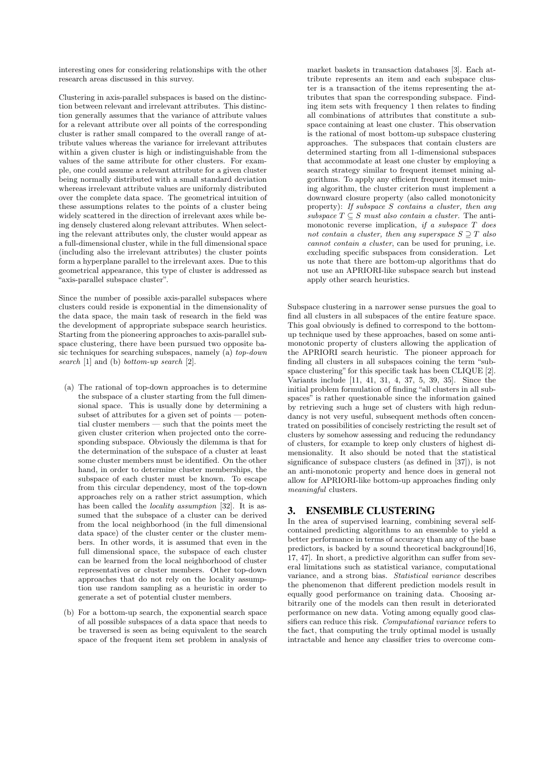interesting ones for considering relationships with the other research areas discussed in this survey.

Clustering in axis-parallel subspaces is based on the distinction between relevant and irrelevant attributes. This distinction generally assumes that the variance of attribute values for a relevant attribute over all points of the corresponding cluster is rather small compared to the overall range of attribute values whereas the variance for irrelevant attributes within a given cluster is high or indistinguishable from the values of the same attribute for other clusters. For example, one could assume a relevant attribute for a given cluster being normally distributed with a small standard deviation whereas irrelevant attribute values are uniformly distributed over the complete data space. The geometrical intuition of these assumptions relates to the points of a cluster being widely scattered in the direction of irrelevant axes while being densely clustered along relevant attributes. When selecting the relevant attributes only, the cluster would appear as a full-dimensional cluster, while in the full dimensional space (including also the irrelevant attributes) the cluster points form a hyperplane parallel to the irrelevant axes. Due to this geometrical appearance, this type of cluster is addressed as "axis-parallel subspace cluster".

Since the number of possible axis-parallel subspaces where clusters could reside is exponential in the dimensionality of the data space, the main task of research in the field was the development of appropriate subspace search heuristics. Starting from the pioneering approaches to axis-parallel subspace clustering, there have been pursued two opposite basic techniques for searching subspaces, namely (a) *top-down search* [1] and (b) *bottom-up search* [2].

- (a) The rational of top-down approaches is to determine the subspace of a cluster starting from the full dimensional space. This is usually done by determining a subset of attributes for a given set of points — potential cluster members — such that the points meet the given cluster criterion when projected onto the corresponding subspace. Obviously the dilemma is that for the determination of the subspace of a cluster at least some cluster members must be identified. On the other hand, in order to determine cluster memberships, the subspace of each cluster must be known. To escape from this circular dependency, most of the top-down approaches rely on a rather strict assumption, which has been called the *locality assumption* [32]. It is assumed that the subspace of a cluster can be derived from the local neighborhood (in the full dimensional data space) of the cluster center or the cluster members. In other words, it is assumed that even in the full dimensional space, the subspace of each cluster can be learned from the local neighborhood of cluster representatives or cluster members. Other top-down approaches that do not rely on the locality assumption use random sampling as a heuristic in order to generate a set of potential cluster members.
- (b) For a bottom-up search, the exponential search space of all possible subspaces of a data space that needs to be traversed is seen as being equivalent to the search space of the frequent item set problem in analysis of

market baskets in transaction databases [3]. Each attribute represents an item and each subspace cluster is a transaction of the items representing the attributes that span the corresponding subspace. Finding item sets with frequency 1 then relates to finding all combinations of attributes that constitute a subspace containing at least one cluster. This observation is the rational of most bottom-up subspace clustering approaches. The subspaces that contain clusters are determined starting from all 1-dimensional subspaces that accommodate at least one cluster by employing a search strategy similar to frequent itemset mining algorithms. To apply any efficient frequent itemset mining algorithm, the cluster criterion must implement a downward closure property (also called monotonicity property): *If subspace* S *contains a cluster, then any*  $subspace T \subseteq S$  *must also contain a cluster.* The antimonotonic reverse implication, *if a subspace* T *does not contain a cluster, then any superspace*  $S \supseteq T$  *also cannot contain a cluster*, can be used for pruning, i.e. excluding specific subspaces from consideration. Let us note that there are bottom-up algorithms that do not use an APRIORI-like subspace search but instead apply other search heuristics.

Subspace clustering in a narrower sense pursues the goal to find all clusters in all subspaces of the entire feature space. This goal obviously is defined to correspond to the bottomup technique used by these approaches, based on some antimonotonic property of clusters allowing the application of the APRIORI search heuristic. The pioneer approach for finding all clusters in all subspaces coining the term "subspace clustering" for this specific task has been CLIQUE [2]. Variants include [11, 41, 31, 4, 37, 5, 39, 35]. Since the initial problem formulation of finding "all clusters in all subspaces" is rather questionable since the information gained by retrieving such a huge set of clusters with high redundancy is not very useful, subsequent methods often concentrated on possibilities of concisely restricting the result set of clusters by somehow assessing and reducing the redundancy of clusters, for example to keep only clusters of highest dimensionality. It also should be noted that the statistical significance of subspace clusters (as defined in [37]), is not an anti-monotonic property and hence does in general not allow for APRIORI-like bottom-up approaches finding only *meaningful* clusters.

#### 3. ENSEMBLE CLUSTERING

In the area of supervised learning, combining several selfcontained predicting algorithms to an ensemble to yield a better performance in terms of accuracy than any of the base predictors, is backed by a sound theoretical background[16, 17, 47]. In short, a predictive algorithm can suffer from several limitations such as statistical variance, computational variance, and a strong bias. *Statistical variance* describes the phenomenon that different prediction models result in equally good performance on training data. Choosing arbitrarily one of the models can then result in deteriorated performance on new data. Voting among equally good classifiers can reduce this risk. *Computational variance* refers to the fact, that computing the truly optimal model is usually intractable and hence any classifier tries to overcome com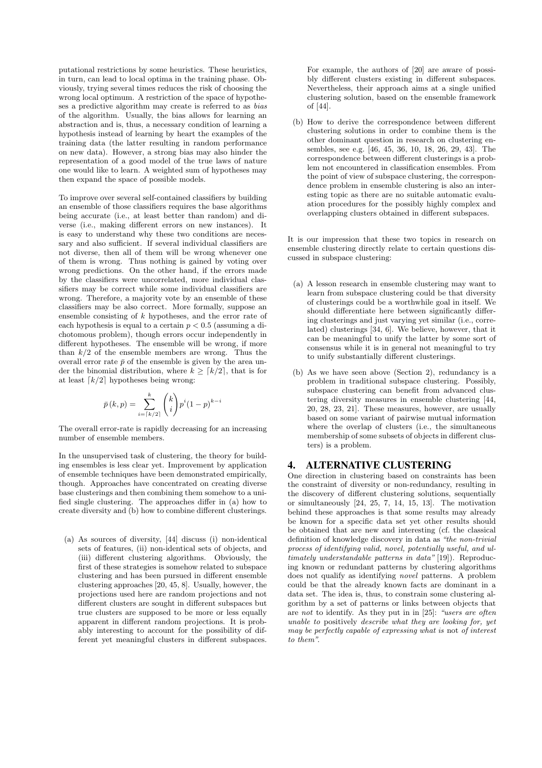putational restrictions by some heuristics. These heuristics, in turn, can lead to local optima in the training phase. Obviously, trying several times reduces the risk of choosing the wrong local optimum. A restriction of the space of hypotheses a predictive algorithm may create is referred to as *bias* of the algorithm. Usually, the bias allows for learning an abstraction and is, thus, a necessary condition of learning a hypothesis instead of learning by heart the examples of the training data (the latter resulting in random performance on new data). However, a strong bias may also hinder the representation of a good model of the true laws of nature one would like to learn. A weighted sum of hypotheses may then expand the space of possible models.

To improve over several self-contained classifiers by building an ensemble of those classifiers requires the base algorithms being accurate (i.e., at least better than random) and diverse (i.e., making different errors on new instances). It is easy to understand why these two conditions are necessary and also sufficient. If several individual classifiers are not diverse, then all of them will be wrong whenever one of them is wrong. Thus nothing is gained by voting over wrong predictions. On the other hand, if the errors made by the classifiers were uncorrelated, more individual classifiers may be correct while some individual classifiers are wrong. Therefore, a majority vote by an ensemble of these classifiers may be also correct. More formally, suppose an ensemble consisting of k hypotheses, and the error rate of each hypothesis is equal to a certain  $p < 0.5$  (assuming a dichotomous problem), though errors occur independently in different hypotheses. The ensemble will be wrong, if more than  $k/2$  of the ensemble members are wrong. Thus the overall error rate  $\bar{p}$  of the ensemble is given by the area under the binomial distribution, where  $k \geq \lceil k/2 \rceil$ , that is for at least  $\lceil k/2 \rceil$  hypotheses being wrong:

$$
\bar{p}(k,p) = \sum_{i=\lceil k/2 \rceil}^{k} {k \choose i} p^{i} (1-p)^{k-i}
$$

The overall error-rate is rapidly decreasing for an increasing number of ensemble members.

In the unsupervised task of clustering, the theory for building ensembles is less clear yet. Improvement by application of ensemble techniques have been demonstrated empirically, though. Approaches have concentrated on creating diverse base clusterings and then combining them somehow to a unified single clustering. The approaches differ in (a) how to create diversity and (b) how to combine different clusterings.

(a) As sources of diversity, [44] discuss (i) non-identical sets of features, (ii) non-identical sets of objects, and (iii) different clustering algorithms. Obviously, the first of these strategies is somehow related to subspace clustering and has been pursued in different ensemble clustering approaches [20, 45, 8]. Usually, however, the projections used here are random projections and not different clusters are sought in different subspaces but true clusters are supposed to be more or less equally apparent in different random projections. It is probably interesting to account for the possibility of different yet meaningful clusters in different subspaces.

For example, the authors of [20] are aware of possibly different clusters existing in different subspaces. Nevertheless, their approach aims at a single unified clustering solution, based on the ensemble framework of [44].

(b) How to derive the correspondence between different clustering solutions in order to combine them is the other dominant question in research on clustering ensembles, see e.g. [46, 45, 36, 10, 18, 26, 29, 43]. The correspondence between different clusterings is a problem not encountered in classification ensembles. From the point of view of subspace clustering, the correspondence problem in ensemble clustering is also an interesting topic as there are no suitable automatic evaluation procedures for the possibly highly complex and overlapping clusters obtained in different subspaces.

It is our impression that these two topics in research on ensemble clustering directly relate to certain questions discussed in subspace clustering:

- (a) A lesson research in ensemble clustering may want to learn from subspace clustering could be that diversity of clusterings could be a worthwhile goal in itself. We should differentiate here between significantly differing clusterings and just varying yet similar (i.e., correlated) clusterings [34, 6]. We believe, however, that it can be meaningful to unify the latter by some sort of consensus while it is in general not meaningful to try to unify substantially different clusterings.
- (b) As we have seen above (Section 2), redundancy is a problem in traditional subspace clustering. Possibly, subspace clustering can benefit from advanced clustering diversity measures in ensemble clustering [44, 20, 28, 23, 21]. These measures, however, are usually based on some variant of pairwise mutual information where the overlap of clusters (i.e., the simultaneous membership of some subsets of objects in different clusters) is a problem.

#### 4. ALTERNATIVE CLUSTERING

One direction in clustering based on constraints has been the constraint of diversity or non-redundancy, resulting in the discovery of different clustering solutions, sequentially or simultaneously [24, 25, 7, 14, 15, 13]. The motivation behind these approaches is that some results may already be known for a specific data set yet other results should be obtained that are new and interesting (cf. the classical definition of knowledge discovery in data as *"the non-trivial process of identifying valid, novel, potentially useful, and ultimately understandable patterns in data"* [19]). Reproducing known or redundant patterns by clustering algorithms does not qualify as identifying *novel* patterns. A problem could be that the already known facts are dominant in a data set. The idea is, thus, to constrain some clustering algorithm by a set of patterns or links between objects that are *not* to identify. As they put in in [25]: *"users are often unable to* positively *describe what they are looking for, yet may be perfectly capable of expressing what is* not *of interest to them"*.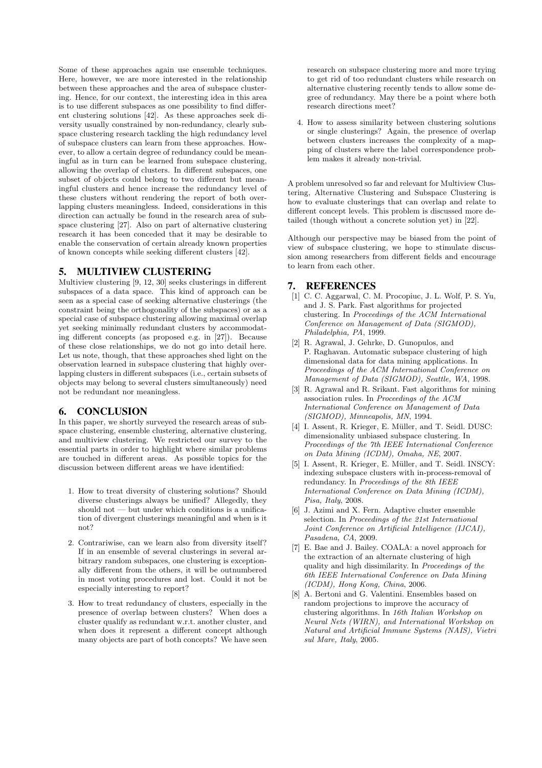Some of these approaches again use ensemble techniques. Here, however, we are more interested in the relationship between these approaches and the area of subspace clustering. Hence, for our context, the interesting idea in this area is to use different subspaces as one possibility to find different clustering solutions [42]. As these approaches seek diversity usually constrained by non-redundancy, clearly subspace clustering research tackling the high redundancy level of subspace clusters can learn from these approaches. However, to allow a certain degree of redundancy could be meaningful as in turn can be learned from subspace clustering, allowing the overlap of clusters. In different subspaces, one subset of objects could belong to two different but meaningful clusters and hence increase the redundancy level of these clusters without rendering the report of both overlapping clusters meaningless. Indeed, considerations in this direction can actually be found in the research area of subspace clustering [27]. Also on part of alternative clustering research it has been conceded that it may be desirable to enable the conservation of certain already known properties of known concepts while seeking different clusters [42].

# 5. MULTIVIEW CLUSTERING

Multiview clustering [9, 12, 30] seeks clusterings in different subspaces of a data space. This kind of approach can be seen as a special case of seeking alternative clusterings (the constraint being the orthogonality of the subspaces) or as a special case of subspace clustering allowing maximal overlap yet seeking minimally redundant clusters by accommodating different concepts (as proposed e.g. in [27]). Because of these close relationships, we do not go into detail here. Let us note, though, that these approaches shed light on the observation learned in subspace clustering that highly overlapping clusters in different subspaces (i.e., certain subsets of objects may belong to several clusters simultaneously) need not be redundant nor meaningless.

#### 6. CONCLUSION

In this paper, we shortly surveyed the research areas of subspace clustering, ensemble clustering, alternative clustering, and multiview clustering. We restricted our survey to the essential parts in order to highlight where similar problems are touched in different areas. As possible topics for the discussion between different areas we have identified:

- 1. How to treat diversity of clustering solutions? Should diverse clusterings always be unified? Allegedly, they should not — but under which conditions is a unification of divergent clusterings meaningful and when is it not?
- 2. Contrariwise, can we learn also from diversity itself? If in an ensemble of several clusterings in several arbitrary random subspaces, one clustering is exceptionally different from the others, it will be outnumbered in most voting procedures and lost. Could it not be especially interesting to report?
- 3. How to treat redundancy of clusters, especially in the presence of overlap between clusters? When does a cluster qualify as redundant w.r.t. another cluster, and when does it represent a different concept although many objects are part of both concepts? We have seen

research on subspace clustering more and more trying to get rid of too redundant clusters while research on alternative clustering recently tends to allow some degree of redundancy. May there be a point where both research directions meet?

4. How to assess similarity between clustering solutions or single clusterings? Again, the presence of overlap between clusters increases the complexity of a mapping of clusters where the label correspondence problem makes it already non-trivial.

A problem unresolved so far and relevant for Multiview Clustering, Alternative Clustering and Subspace Clustering is how to evaluate clusterings that can overlap and relate to different concept levels. This problem is discussed more detailed (though without a concrete solution yet) in [22].

Although our perspective may be biased from the point of view of subspace clustering, we hope to stimulate discussion among researchers from different fields and encourage to learn from each other.

### 7. REFERENCES

- [1] C. C. Aggarwal, C. M. Procopiuc, J. L. Wolf, P. S. Yu, and J. S. Park. Fast algorithms for projected clustering. In *Proceedings of the ACM International Conference on Management of Data (SIGMOD), Philadelphia, PA*, 1999.
- [2] R. Agrawal, J. Gehrke, D. Gunopulos, and P. Raghavan. Automatic subspace clustering of high dimensional data for data mining applications. In *Proceedings of the ACM International Conference on Management of Data (SIGMOD), Seattle, WA*, 1998.
- [3] R. Agrawal and R. Srikant. Fast algorithms for mining association rules. In *Proceedings of the ACM International Conference on Management of Data (SIGMOD), Minneapolis, MN*, 1994.
- [4] I. Assent, R. Krieger, E. Müller, and T. Seidl. DUSC: dimensionality unbiased subspace clustering. In *Proceedings of the 7th IEEE International Conference on Data Mining (ICDM), Omaha, NE*, 2007.
- [5] I. Assent, R. Krieger, E. Müller, and T. Seidl. INSCY: indexing subspace clusters with in-process-removal of redundancy. In *Proceedings of the 8th IEEE International Conference on Data Mining (ICDM), Pisa, Italy*, 2008.
- [6] J. Azimi and X. Fern. Adaptive cluster ensemble selection. In *Proceedings of the 21st International Joint Conference on Artificial Intelligence (IJCAI), Pasadena, CA*, 2009.
- [7] E. Bae and J. Bailey. COALA: a novel approach for the extraction of an alternate clustering of high quality and high dissimilarity. In *Proceedings of the 6th IEEE International Conference on Data Mining (ICDM), Hong Kong, China*, 2006.
- [8] A. Bertoni and G. Valentini. Ensembles based on random projections to improve the accuracy of clustering algorithms. In *16th Italian Workshop on Neural Nets (WIRN), and International Workshop on Natural and Artificial Immune Systems (NAIS), Vietri sul Mare, Italy*, 2005.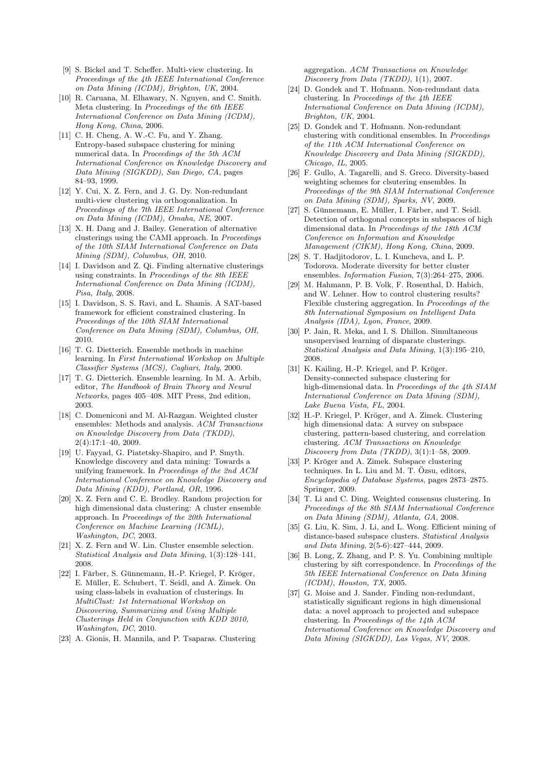- [9] S. Bickel and T. Scheffer. Multi-view clustering. In *Proceedings of the 4th IEEE International Conference on Data Mining (ICDM), Brighton, UK*, 2004.
- [10] R. Caruana, M. Elhawary, N. Nguyen, and C. Smith. Meta clustering. In *Proceedings of the 6th IEEE International Conference on Data Mining (ICDM), Hong Kong, China*, 2006.
- [11] C. H. Cheng, A. W.-C. Fu, and Y. Zhang. Entropy-based subspace clustering for mining numerical data. In *Proceedings of the 5th ACM International Conference on Knowledge Discovery and Data Mining (SIGKDD), San Diego, CA*, pages 84–93, 1999.
- [12] Y. Cui, X. Z. Fern, and J. G. Dy. Non-redundant multi-view clustering via orthogonalization. In *Proceedings of the 7th IEEE International Conference on Data Mining (ICDM), Omaha, NE*, 2007.
- [13] X. H. Dang and J. Bailey. Generation of alternative clusterings using the CAMI approach. In *Proceedings of the 10th SIAM International Conference on Data Mining (SDM), Columbus, OH*, 2010.
- [14] I. Davidson and Z. Qi. Finding alternative clusterings using constraints. In *Proceedings of the 8th IEEE International Conference on Data Mining (ICDM), Pisa, Italy*, 2008.
- [15] I. Davidson, S. S. Ravi, and L. Shamis. A SAT-based framework for efficient constrained clustering. In *Proceedings of the 10th SIAM International Conference on Data Mining (SDM), Columbus, OH*, 2010.
- [16] T. G. Dietterich. Ensemble methods in machine learning. In *First International Workshop on Multiple Classifier Systems (MCS), Cagliari, Italy*, 2000.
- [17] T. G. Dietterich. Ensemble learning. In M. A. Arbib, editor, *The Handbook of Brain Theory and Neural Networks*, pages 405–408. MIT Press, 2nd edition, 2003.
- [18] C. Domeniconi and M. Al-Razgan. Weighted cluster ensembles: Methods and analysis. *ACM Transactions on Knowledge Discovery from Data (TKDD)*, 2(4):17:1–40, 2009.
- [19] U. Fayyad, G. Piatetsky-Shapiro, and P. Smyth. Knowledge discovery and data mining: Towards a unifying framework. In *Proceedings of the 2nd ACM International Conference on Knowledge Discovery and Data Mining (KDD), Portland, OR*, 1996.
- [20] X. Z. Fern and C. E. Brodley. Random projection for high dimensional data clustering: A cluster ensemble approach. In *Proceedings of the 20th International Conference on Machine Learning (ICML), Washington, DC*, 2003.
- [21] X. Z. Fern and W. Lin. Cluster ensemble selection. *Statistical Analysis and Data Mining*, 1(3):128–141, 2008.
- [22] I. Färber, S. Günnemann, H.-P. Kriegel, P. Kröger, E. Müller, E. Schubert, T. Seidl, and A. Zimek. On using class-labels in evaluation of clusterings. In *MultiClust: 1st International Workshop on Discovering, Summarizing and Using Multiple Clusterings Held in Conjunction with KDD 2010, Washington, DC*, 2010.
- [23] A. Gionis, H. Mannila, and P. Tsaparas. Clustering

aggregation. *ACM Transactions on Knowledge Discovery from Data (TKDD)*, 1(1), 2007.

- [24] D. Gondek and T. Hofmann. Non-redundant data clustering. In *Proceedings of the 4th IEEE International Conference on Data Mining (ICDM), Brighton, UK*, 2004.
- [25] D. Gondek and T. Hofmann. Non-redundant clustering with conditional ensembles. In *Proceedings of the 11th ACM International Conference on Knowledge Discovery and Data Mining (SIGKDD), Chicago, IL*, 2005.
- [26] F. Gullo, A. Tagarelli, and S. Greco. Diversity-based weighting schemes for clsutering ensembles. In *Proceedings of the 9th SIAM International Conference on Data Mining (SDM), Sparks, NV*, 2009.
- [27] S. Günnemann, E. Müller, I. Färber, and T. Seidl. Detection of orthogonal concepts in subspaces of high dimensional data. In *Proceedings of the 18th ACM Conference on Information and Knowledge Management (CIKM), Hong Kong, China*, 2009.
- [28] S. T. Hadjitodorov, L. I. Kuncheva, and L. P. Todorova. Moderate diversity for better cluster ensembles. *Information Fusion*, 7(3):264–275, 2006.
- [29] M. Hahmann, P. B. Volk, F. Rosenthal, D. Habich, and W. Lehner. How to control clustering results? Flexible clustering aggregation. In *Proceedings of the 8th International Symposium on Intelligent Data Analysis (IDA), Lyon, France*, 2009.
- [30] P. Jain, R. Meka, and I. S. Dhillon. Simultaneous unsupervised learning of disparate clusterings. *Statistical Analysis and Data Mining*, 1(3):195–210, 2008.
- [31] K. Kailing, H.-P. Kriegel, and P. Kröger. Density-connected subspace clustering for high-dimensional data. In *Proceedings of the 4th SIAM International Conference on Data Mining (SDM), Lake Buena Vista, FL*, 2004.
- [32] H.-P. Kriegel, P. Kröger, and A. Zimek. Clustering high dimensional data: A survey on subspace clustering, pattern-based clustering, and correlation clustering. *ACM Transactions on Knowledge Discovery from Data (TKDD)*, 3(1):1–58, 2009.
- [33] P. Kröger and A. Zimek. Subspace clustering techniques. In L. Liu and M. T. Özsu, editors, *Encyclopedia of Database Systems*, pages 2873–2875. Springer, 2009.
- [34] T. Li and C. Ding. Weighted consensus clustering. In *Proceedings of the 8th SIAM International Conference on Data Mining (SDM), Atlanta, GA*, 2008.
- [35] G. Liu, K. Sim, J. Li, and L. Wong. Efficient mining of distance-based subspace clusters. *Statistical Analysis and Data Mining*, 2(5-6):427–444, 2009.
- [36] B. Long, Z. Zhang, and P. S. Yu. Combining multiple clustering by sift correspondence. In *Proceedings of the 5th IEEE International Conference on Data Mining (ICDM), Houston, TX*, 2005.
- [37] G. Moise and J. Sander. Finding non-redundant, statistically significant regions in high dimensional data: a novel approach to projected and subspace clustering. In *Proceedings of the 14th ACM International Conference on Knowledge Discovery and Data Mining (SIGKDD), Las Vegas, NV*, 2008.